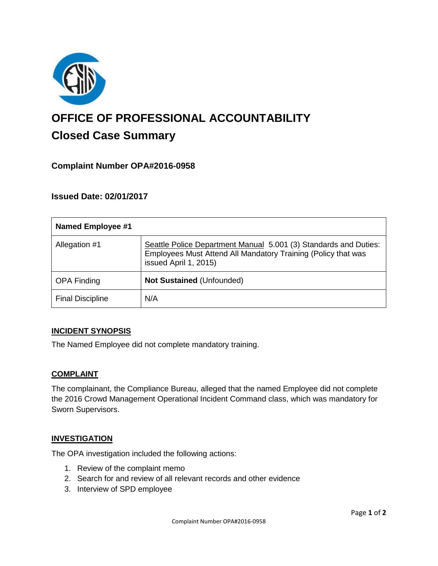

# **OFFICE OF PROFESSIONAL ACCOUNTABILITY Closed Case Summary**

## **Complaint Number OPA#2016-0958**

## **Issued Date: 02/01/2017**

| <b>Named Employee #1</b> |                                                                                                                                                            |
|--------------------------|------------------------------------------------------------------------------------------------------------------------------------------------------------|
| Allegation #1            | Seattle Police Department Manual 5.001 (3) Standards and Duties:<br>Employees Must Attend All Mandatory Training (Policy that was<br>issued April 1, 2015) |
| <b>OPA Finding</b>       | Not Sustained (Unfounded)                                                                                                                                  |
| <b>Final Discipline</b>  | N/A                                                                                                                                                        |

#### **INCIDENT SYNOPSIS**

The Named Employee did not complete mandatory training.

#### **COMPLAINT**

The complainant, the Compliance Bureau, alleged that the named Employee did not complete the 2016 Crowd Management Operational Incident Command class, which was mandatory for Sworn Supervisors.

#### **INVESTIGATION**

The OPA investigation included the following actions:

- 1. Review of the complaint memo
- 2. Search for and review of all relevant records and other evidence
- 3. Interview of SPD employee